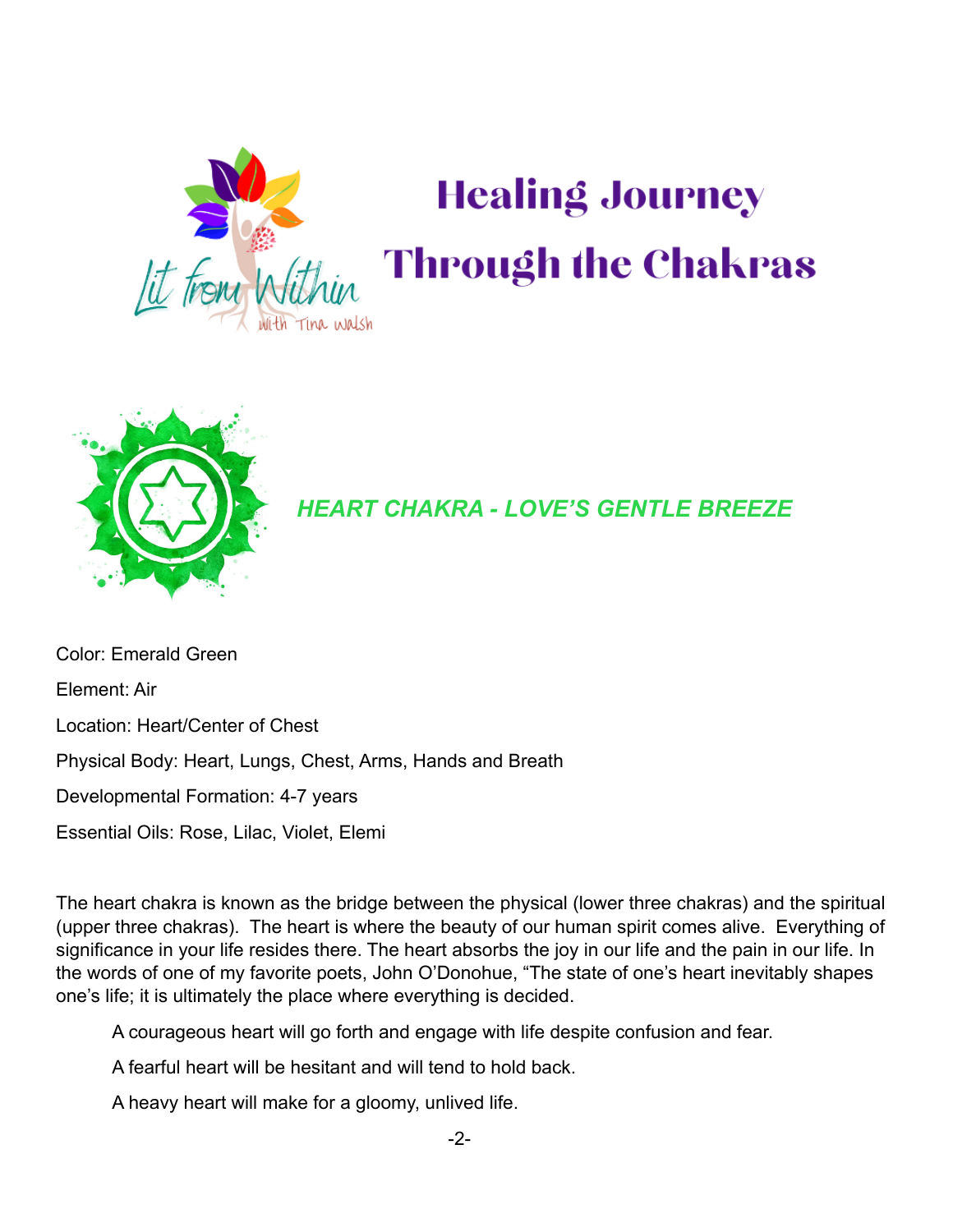

# **Healing Journey Through the Chakras**



#### *HEART CHAKRA - LOVE'S GENTLE BREEZE*

Color: Emerald Green Element: Air Location: Heart/Center of Chest Physical Body: Heart, Lungs, Chest, Arms, Hands and Breath Developmental Formation: 4-7 years Essential Oils: Rose, Lilac, Violet, Elemi

The heart chakra is known as the bridge between the physical (lower three chakras) and the spiritual (upper three chakras). The heart is where the beauty of our human spirit comes alive. Everything of significance in your life resides there. The heart absorbs the joy in our life and the pain in our life. In the words of one of my favorite poets, John O'Donohue, "The state of one's heart inevitably shapes one's life; it is ultimately the place where everything is decided.

A courageous heart will go forth and engage with life despite confusion and fear.

A fearful heart will be hesitant and will tend to hold back.

A heavy heart will make for a gloomy, unlived life.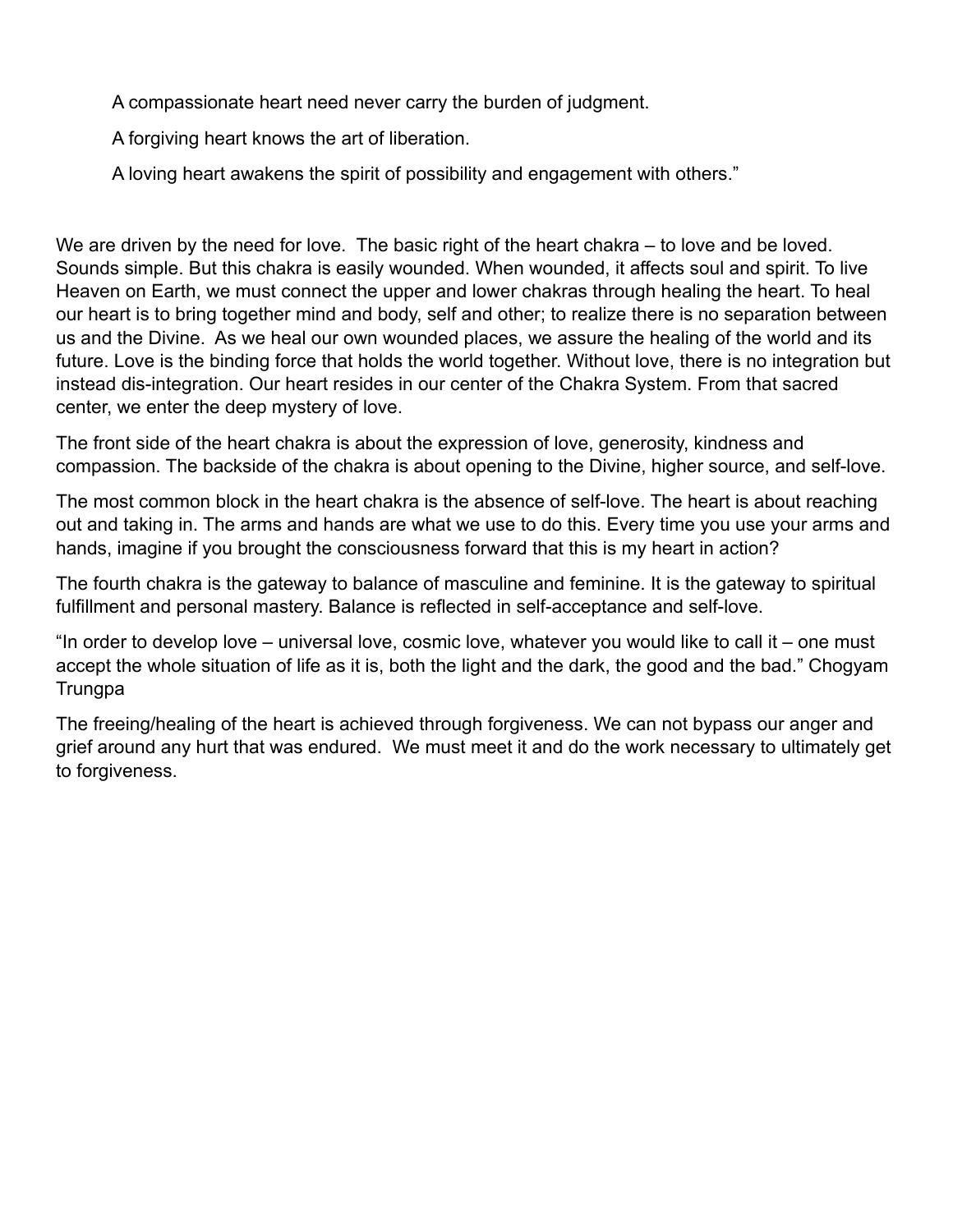A compassionate heart need never carry the burden of judgment.

A forgiving heart knows the art of liberation.

A loving heart awakens the spirit of possibility and engagement with others."

We are driven by the need for love. The basic right of the heart chakra – to love and be loved. Sounds simple. But this chakra is easily wounded. When wounded, it affects soul and spirit. To live Heaven on Earth, we must connect the upper and lower chakras through healing the heart. To heal our heart is to bring together mind and body, self and other; to realize there is no separation between us and the Divine. As we heal our own wounded places, we assure the healing of the world and its future. Love is the binding force that holds the world together. Without love, there is no integration but instead dis-integration. Our heart resides in our center of the Chakra System. From that sacred center, we enter the deep mystery of love.

The front side of the heart chakra is about the expression of love, generosity, kindness and compassion. The backside of the chakra is about opening to the Divine, higher source, and self-love.

The most common block in the heart chakra is the absence of self-love. The heart is about reaching out and taking in. The arms and hands are what we use to do this. Every time you use your arms and hands, imagine if you brought the consciousness forward that this is my heart in action?

The fourth chakra is the gateway to balance of masculine and feminine. It is the gateway to spiritual fulfillment and personal mastery. Balance is reflected in self-acceptance and self-love.

"In order to develop love – universal love, cosmic love, whatever you would like to call it – one must accept the whole situation of life as it is, both the light and the dark, the good and the bad." Chogyam **Trungpa** 

The freeing/healing of the heart is achieved through forgiveness. We can not bypass our anger and grief around any hurt that was endured. We must meet it and do the work necessary to ultimately get to forgiveness.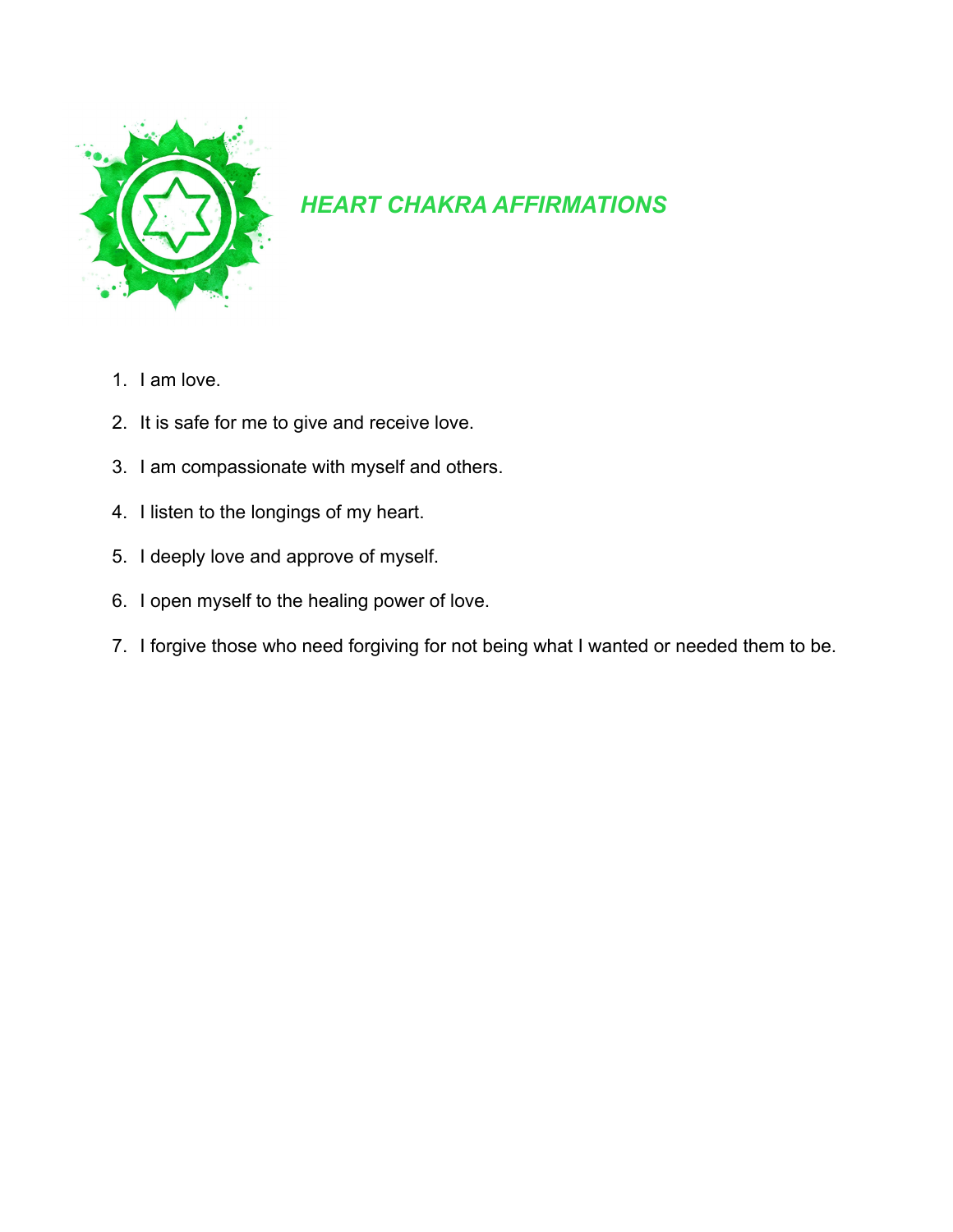

## *HEART CHAKRA AFFIRMATIONS*

- 1. I am love.
- 2. It is safe for me to give and receive love.
- 3. I am compassionate with myself and others.
- 4. I listen to the longings of my heart.
- 5. I deeply love and approve of myself.
- 6. I open myself to the healing power of love.
- 7. I forgive those who need forgiving for not being what I wanted or needed them to be.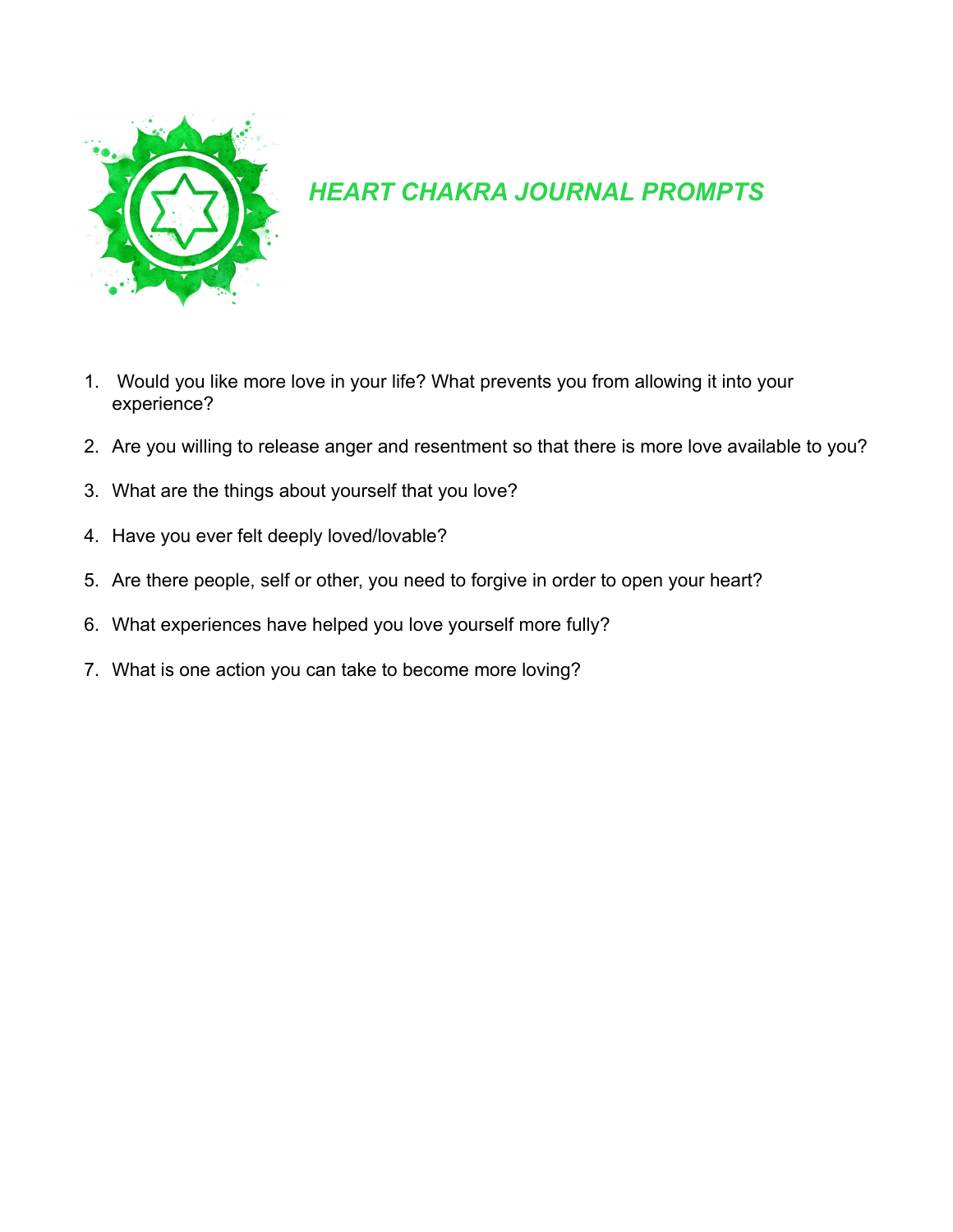

## *HEART CHAKRA JOURNAL PROMPTS*

- 1. Would you like more love in your life? What prevents you from allowing it into your experience?
- 2. Are you willing to release anger and resentment so that there is more love available to you?
- 3. What are the things about yourself that you love?
- 4. Have you ever felt deeply loved/lovable?
- 5. Are there people, self or other, you need to forgive in order to open your heart?
- 6. What experiences have helped you love yourself more fully?
- 7. What is one action you can take to become more loving?